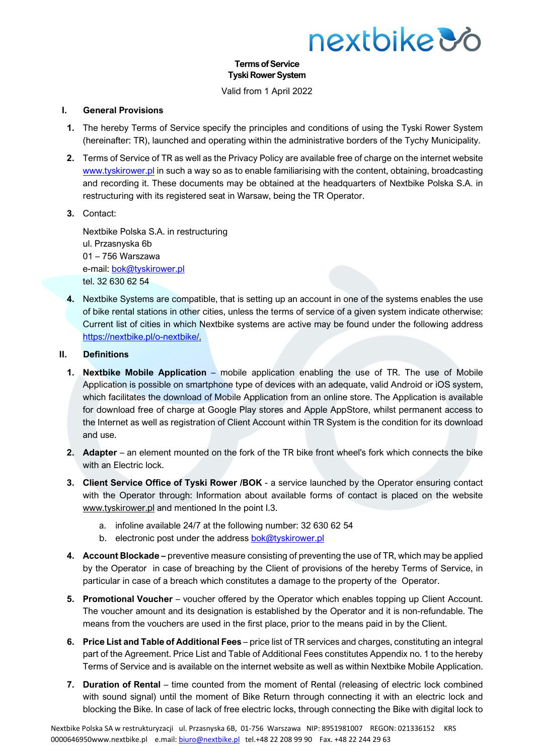

#### **Terms of Service Tyski Rower System**

Valid from 1 April 2022

#### **I. General Provisions**

- **1.** The hereby Terms of Service specify the principles and conditions of using the Tyski Rower System (hereinafter: TR), launched and operating within the administrative borders of the Tychy Municipality.
- **2.** Terms of Service of TR as well as the Privacy Policy are available free of charge on the internet website [www.tyskirower.pl](http://www.tyskirower.pl/) in such a way so as to enable familiarising with the content, obtaining, broadcasting and recording it. These documents may be obtained at the headquarters of Nextbike Polska S.A. in restructuring with its registered seat in Warsaw, being the TR Operator.
- **3.** Contact:

Nextbike Polska S.A. in restructuring ul. Przasnyska 6b 01 – 756 Warszawa e-mail: [bok@tyskirower.pl](mailto:bok@tyskirower.pl) tel. 32 630 62 54

**4.** Nextbike Systems are compatible, that is setting up an account in one of the systems enables the use of bike rental stations in other cities, unless the terms of service of a given system indicate otherwise: Current list of cities in which Nextbike systems are active may be found under the following address [https://nextbike.pl/o-nextbike/.](https://nextbike.pl/o-nextbike/)

#### **II. Definitions**

- **1. Nextbike Mobile Application**  mobile application enabling the use of TR. The use of Mobile Application is possible on smartphone type of devices with an adequate, valid Android or iOS system, which facilitates the download of Mobile Application from an online store. The Application is available for download free of charge at Google Play stores and Apple AppStore, whilst permanent access to the Internet as well as registration of Client Account within TR System is the condition for its download and use.
- **2. Adapter** an element mounted on the fork of the TR bike front wheel's fork which connects the bike with an Electric lock.
- **3. Client Service Office of Tyski Rower /BOK**  a service launched by the Operator ensuring contact with the Operator through: Information about available forms of contact is placed on the website [www.tyskirower.pl](http://www.tyskirower.pl/) and mentioned In the point I.3.
	- a. infoline available 24/7 at the following number: 32 630 62 54
	- b. electronic post under the address [bok@tyskirower.pl](mailto:bok@tyskirower.pl)
- **4. Account Blockade –** preventive measure consisting of preventing the use of TR, which may be applied by the Operator in case of breaching by the Client of provisions of the hereby Terms of Service, in particular in case of a breach which constitutes a damage to the property of the Operator.
- **5. Promotional Voucher** voucher offered by the Operator which enables topping up Client Account. The voucher amount and its designation is established by the Operator and it is non-refundable. The means from the vouchers are used in the first place, prior to the means paid in by the Client.
- **6. Price List and Table of Additional Fees** price list of TR services and charges, constituting an integral part of the Agreement. Price List and Table of Additional Fees constitutes Appendix no. 1 to the hereby Terms of Service and is available on the internet website as well as within Nextbike Mobile Application.
- **7. Duration of Rental** time counted from the moment of Rental (releasing of electric lock combined with sound signal) until the moment of Bike Return through connecting it with an electric lock and blocking the Bike. In case of lack of free electric locks, through connecting the Bike with digital lock to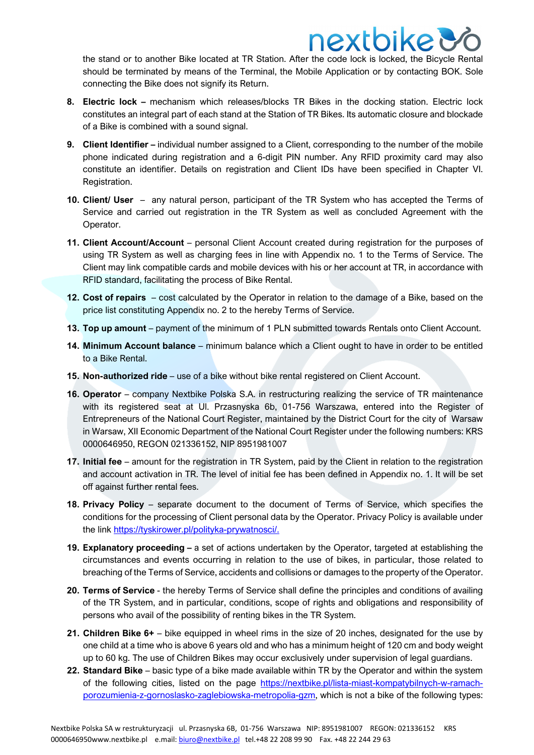the stand or to another Bike located at TR Station. After the code lock is locked, the Bicycle Rental should be terminated by means of the Terminal, the Mobile Application or by contacting BOK. Sole connecting the Bike does not signify its Return.

nextbike &

- **8. Electric lock –** mechanism which releases/blocks TR Bikes in the docking station. Electric lock constitutes an integral part of each stand at the Station of TR Bikes. Its automatic closure and blockade of a Bike is combined with a sound signal.
- **9. Client Identifier –** individual number assigned to a Client, corresponding to the number of the mobile phone indicated during registration and a 6-digit PIN number. Any RFID proximity card may also constitute an identifier. Details on registration and Client IDs have been specified in Chapter VI. Registration.
- **10. Client/ User** any natural person, participant of the TR System who has accepted the Terms of Service and carried out registration in the TR System as well as concluded Agreement with the Operator.
- 11. Client Account/Account personal Client Account created during registration for the purposes of using TR System as well as charging fees in line with Appendix no. 1 to the Terms of Service. The Client may link compatible cards and mobile devices with his or her account at TR, in accordance with RFID standard, facilitating the process of Bike Rental.
- **12. Cost of repairs** cost calculated by the Operator in relation to the damage of a Bike, based on the price list constituting Appendix no. 2 to the hereby Terms of Service.
- **13. Top up amount** payment of the minimum of 1 PLN submitted towards Rentals onto Client Account.
- **14. Minimum Account balance** minimum balance which a Client ought to have in order to be entitled to a Bike Rental.
- **15. Non-authorized ride**  use of a bike without bike rental registered on Client Account.
- **16. Operator** company Nextbike Polska S.A. in restructuring realizing the service of TR maintenance with its registered seat at Ul. Przasnyska 6b, 01-756 Warszawa, entered into the Register of Entrepreneurs of the National Court Register, maintained by the District Court for the city of Warsaw in Warsaw, XII Economic Department of the National Court Register under the following numbers: KRS 0000646950, REGON 021336152, NIP 8951981007
- **17. Initial fee** amount for the registration in TR System, paid by the Client in relation to the registration and account activation in TR. The level of initial fee has been defined in Appendix no. 1. It will be set off against further rental fees.
- **18. Privacy Policy** separate document to the document of Terms of Service, which specifies the conditions for the processing of Client personal data by the Operator. Privacy Policy is available under the link [https://tyskirower.pl/polityka-prywatnosci/.](https://tyskirower.pl/polityka-prywatnosci/)
- **19. Explanatory proceeding –** a set of actions undertaken by the Operator, targeted at establishing the circumstances and events occurring in relation to the use of bikes, in particular, those related to breaching of the Terms of Service, accidents and collisions or damages to the property of the Operator.
- **20. Terms of Service** the hereby Terms of Service shall define the principles and conditions of availing of the TR System, and in particular, conditions, scope of rights and obligations and responsibility of persons who avail of the possibility of renting bikes in the TR System.
- **21. Children Bike 6+** bike equipped in wheel rims in the size of 20 inches, designated for the use by one child at a time who is above 6 years old and who has a minimum height of 120 cm and body weight up to 60 kg. The use of Children Bikes may occur exclusively under supervision of legal guardians.
- **22. Standard Bike** basic type of a bike made available within TR by the Operator and within the system of the following cities, listed on the page [https://nextbike.pl/lista-miast-kompatybilnych-w-ramach](https://nextbike.pl/lista-miast-kompatybilnych-w-ramach-porozumienia-z-gornoslasko-zaglebiowska-metropolia-gzm)[porozumienia-z-gornoslasko-zaglebiowska-metropolia-gzm,](https://nextbike.pl/lista-miast-kompatybilnych-w-ramach-porozumienia-z-gornoslasko-zaglebiowska-metropolia-gzm) which is not a bike of the following types: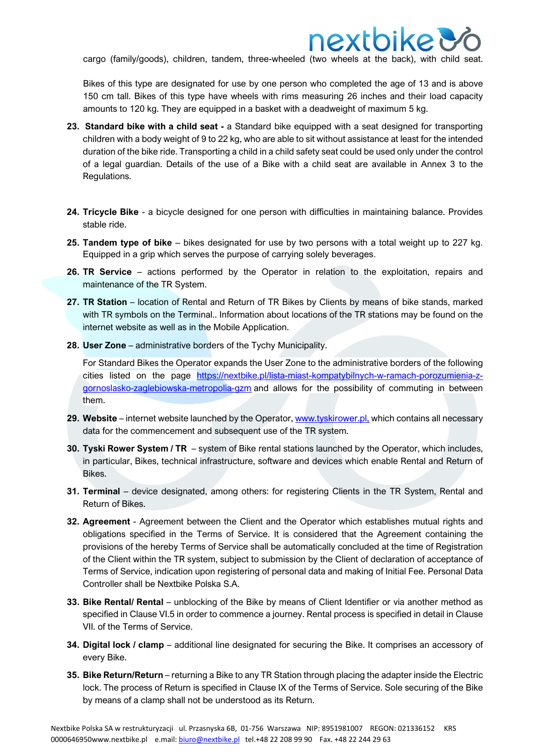cargo (family/goods), children, tandem, three-wheeled (two wheels at the back), with child seat.

Bikes of this type are designated for use by one person who completed the age of 13 and is above 150 cm tall. Bikes of this type have wheels with rims measuring 26 inches and their load capacity amounts to 120 kg. They are equipped in a basket with a deadweight of maximum 5 kg.

- **23. Standard bike with a child seat -** a Standard bike equipped with a seat designed for transporting children with a body weight of 9 to 22 kg, who are able to sit without assistance at least for the intended duration of the bike ride. Transporting a child in a child safety seat could be used only under the control of a legal guardian. Details of the use of a Bike with a child seat are available in Annex 3 to the Regulations.
- **24. Tricycle Bike** a bicycle designed for one person with difficulties in maintaining balance. Provides stable ride.
- **25. Tandem type of bike** bikes designated for use by two persons with a total weight up to 227 kg. Equipped in a grip which serves the purpose of carrying solely beverages.
- **26. TR Service** actions performed by the Operator in relation to the exploitation, repairs and maintenance of the TR System.
- **27. TR Station** location of Rental and Return of TR Bikes by Clients by means of bike stands, marked with TR symbols on the Terminal.. Information about locations of the TR stations may be found on the internet website as well as in the Mobile Application.
- **28. User Zone** administrative borders of the Tychy Municipality.

For Standard Bikes the Operator expands the User Zone to the administrative borders of the following cities listed on the page [https://nextbike.pl/lista-miast-kompatybilnych-w-ramach-porozumienia-z](https://nextbike.pl/lista-miast-kompatybilnych-w-ramach-porozumienia-z-gornoslasko-zaglebiowska-metropolia-gzm)[gornoslasko-zaglebiowska-metropolia-gzm](https://nextbike.pl/lista-miast-kompatybilnych-w-ramach-porozumienia-z-gornoslasko-zaglebiowska-metropolia-gzm) and allows for the possibility of commuting in between them.

- **29. Website** internet website launched by the Operator, [www.tyskirower.pl,](http://www.tyskirower.pl/) which contains all necessary data for the commencement and subsequent use of the TR system.
- **30. Tyski Rower System / TR** system of Bike rental stations launched by the Operator, which includes, in particular, Bikes, technical infrastructure, software and devices which enable Rental and Return of Bikes.
- **31. Terminal** device designated, among others: for registering Clients in the TR System, Rental and Return of Bikes.
- **32. Agreement**  Agreement between the Client and the Operator which establishes mutual rights and obligations specified in the Terms of Service. It is considered that the Agreement containing the provisions of the hereby Terms of Service shall be automatically concluded at the time of Registration of the Client within the TR system, subject to submission by the Client of declaration of acceptance of Terms of Service, indication upon registering of personal data and making of Initial Fee. Personal Data Controller shall be Nextbike Polska S.A.
- **33. Bike Rental/ Rental** unblocking of the Bike by means of Client Identifier or via another method as specified in Clause VI.5 in order to commence a journey. Rental process is specified in detail in Clause VII. of the Terms of Service.
- **34. Digital lock / clamp** additional line designated for securing the Bike. It comprises an accessory of every Bike.
- **35. Bike Return/Return** returning a Bike to any TR Station through placing the adapter inside the Electric lock. The process of Return is specified in Clause IX of the Terms of Service. Sole securing of the Bike by means of a clamp shall not be understood as its Return.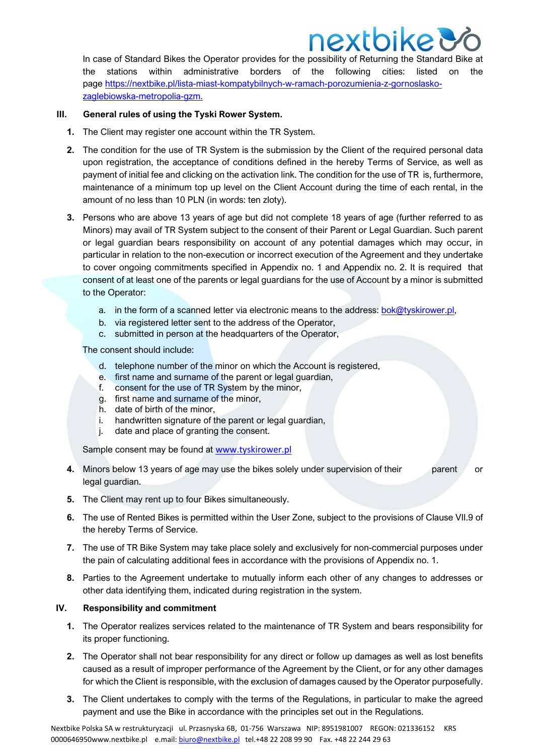In case of Standard Bikes the Operator provides for the possibility of Returning the Standard Bike at the stations within administrative borders of the following cities: listed on the page [https://nextbike.pl/lista-miast-kompatybilnych-w-ramach-porozumienia-z-gornoslasko](https://nextbike.pl/lista-miast-kompatybilnych-w-ramach-porozumienia-z-gornoslasko-zaglebiowska-metropolia-gzm)[zaglebiowska-metropolia-gzm.](https://nextbike.pl/lista-miast-kompatybilnych-w-ramach-porozumienia-z-gornoslasko-zaglebiowska-metropolia-gzm)

#### **III. General rules of using the Tyski Rower System.**

- **1.** The Client may register one account within the TR System.
- **2.** The condition for the use of TR System is the submission by the Client of the required personal data upon registration, the acceptance of conditions defined in the hereby Terms of Service, as well as payment of initial fee and clicking on the activation link. The condition for the use of TR is, furthermore, maintenance of a minimum top up level on the Client Account during the time of each rental, in the amount of no less than 10 PLN (in words: ten zloty).
- **3.** Persons who are above 13 years of age but did not complete 18 years of age (further referred to as Minors) may avail of TR System subject to the consent of their Parent or Legal Guardian. Such parent or legal guardian bears responsibility on account of any potential damages which may occur, in particular in relation to the non-execution or incorrect execution of the Agreement and they undertake to cover ongoing commitments specified in Appendix no. 1 and Appendix no. 2. It is required that consent of at least one of the parents or legal guardians for the use of Account by a minor is submitted to the Operator:
	- a. in the form of a scanned letter via electronic means to the address: [bok@tyskirower.pl,](mailto:bok@tyskirower.pl)
	- b. via registered letter sent to the address of the Operator,
	- c. submitted in person at the headquarters of the Operator,

The consent should include:

- d. telephone number of the minor on which the Account is registered,
- e. first name and surname of the parent or legal guardian,
- f. consent for the use of TR System by the minor,
- g. first name and surname of the minor,
- h. date of birth of the minor,
- i. handwritten signature of the parent or legal guardian,
- j. date and place of granting the consent.

Sample consent may be found at [www.tyskirower.pl](http://www.tyskirower.pl/)

- **4.** Minors below 13 years of age may use the bikes solely under supervision of their parent or legal guardian.
- **5.** The Client may rent up to four Bikes simultaneously.
- **6.** The use of Rented Bikes is permitted within the User Zone, subject to the provisions of Clause VII.9 of the hereby Terms of Service.
- **7.** The use of TR Bike System may take place solely and exclusively for non-commercial purposes under the pain of calculating additional fees in accordance with the provisions of Appendix no. 1.
- **8.** Parties to the Agreement undertake to mutually inform each other of any changes to addresses or other data identifying them, indicated during registration in the system.

#### **IV. Responsibility and commitment**

- **1.** The Operator realizes services related to the maintenance of TR System and bears responsibility for its proper functioning.
- **2.** The Operator shall not bear responsibility for any direct or follow up damages as well as lost benefits caused as a result of improper performance of the Agreement by the Client, or for any other damages for which the Client is responsible, with the exclusion of damages caused by the Operator purposefully.
- **3.** The Client undertakes to comply with the terms of the Regulations, in particular to make the agreed payment and use the Bike in accordance with the principles set out in the Regulations.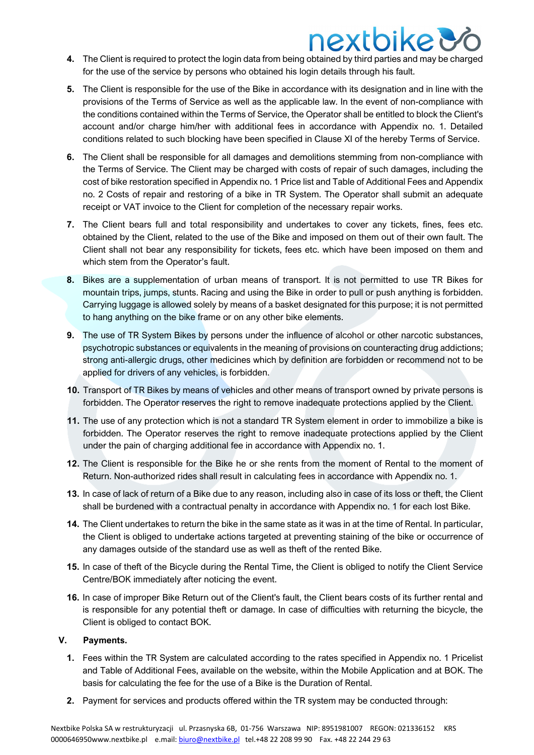- **4.** The Client is required to protect the login data from being obtained by third parties and may be charged for the use of the service by persons who obtained his login details through his fault.
- **5.** The Client is responsible for the use of the Bike in accordance with its designation and in line with the provisions of the Terms of Service as well as the applicable law. In the event of non-compliance with the conditions contained within the Terms of Service, the Operator shall be entitled to block the Client's account and/or charge him/her with additional fees in accordance with Appendix no. 1. Detailed conditions related to such blocking have been specified in Clause XI of the hereby Terms of Service.
- **6.** The Client shall be responsible for all damages and demolitions stemming from non-compliance with the Terms of Service. The Client may be charged with costs of repair of such damages, including the cost of bike restoration specified in Appendix no. 1 Price list and Table of Additional Fees and Appendix no. 2 Costs of repair and restoring of a bike in TR System. The Operator shall submit an adequate receipt or VAT invoice to the Client for completion of the necessary repair works.
- **7.** The Client bears full and total responsibility and undertakes to cover any tickets, fines, fees etc. obtained by the Client, related to the use of the Bike and imposed on them out of their own fault. The Client shall not bear any responsibility for tickets, fees etc. which have been imposed on them and which stem from the Operator's fault.
- **8.** Bikes are a supplementation of urban means of transport. It is not permitted to use TR Bikes for mountain trips, jumps, stunts. Racing and using the Bike in order to pull or push anything is forbidden. Carrying luggage is allowed solely by means of a basket designated for this purpose; it is not permitted to hang anything on the bike frame or on any other bike elements.
- **9.** The use of TR System Bikes by persons under the influence of alcohol or other narcotic substances, psychotropic substances or equivalents in the meaning of provisions on counteracting drug addictions; strong anti-allergic drugs, other medicines which by definition are forbidden or recommend not to be applied for drivers of any vehicles, is forbidden.
- **10.** Transport of TR Bikes by means of vehicles and other means of transport owned by private persons is forbidden. The Operator reserves the right to remove inadequate protections applied by the Client.
- **11.** The use of any protection which is not a standard TR System element in order to immobilize a bike is forbidden. The Operator reserves the right to remove inadequate protections applied by the Client under the pain of charging additional fee in accordance with Appendix no. 1.
- **12.** The Client is responsible for the Bike he or she rents from the moment of Rental to the moment of Return. Non-authorized rides shall result in calculating fees in accordance with Appendix no. 1.
- **13.** In case of lack of return of a Bike due to any reason, including also in case of its loss or theft, the Client shall be burdened with a contractual penalty in accordance with Appendix no. 1 for each lost Bike.
- **14.** The Client undertakes to return the bike in the same state as it was in at the time of Rental. In particular, the Client is obliged to undertake actions targeted at preventing staining of the bike or occurrence of any damages outside of the standard use as well as theft of the rented Bike.
- **15.** In case of theft of the Bicycle during the Rental Time, the Client is obliged to notify the Client Service Centre/BOK immediately after noticing the event.
- **16.** In case of improper Bike Return out of the Client's fault, the Client bears costs of its further rental and is responsible for any potential theft or damage. In case of difficulties with returning the bicycle, the Client is obliged to contact BOK.

#### **V. Payments.**

- **1.** Fees within the TR System are calculated according to the rates specified in Appendix no. 1 Pricelist and Table of Additional Fees, available on the website, within the Mobile Application and at BOK. The basis for calculating the fee for the use of a Bike is the Duration of Rental.
- **2.** Payment for services and products offered within the TR system may be conducted through: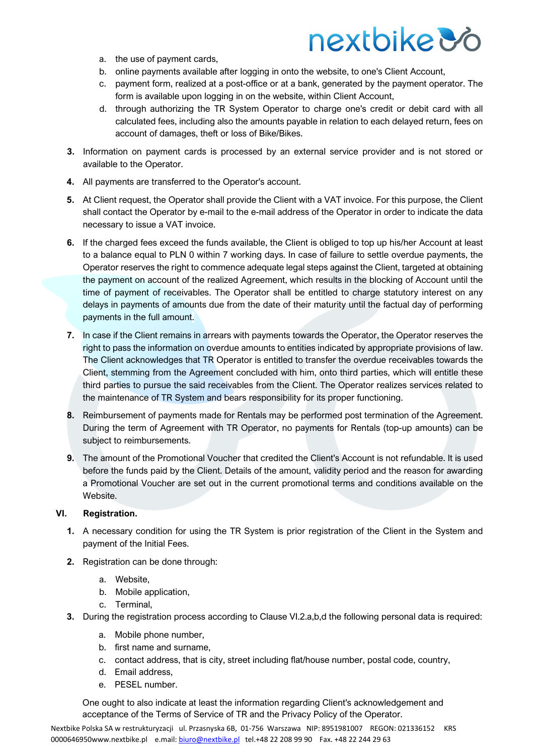- a. the use of payment cards,
- b. online payments available after logging in onto the website, to one's Client Account,
- c. payment form, realized at a post-office or at a bank, generated by the payment operator. The form is available upon logging in on the website, within Client Account,
- d. through authorizing the TR System Operator to charge one's credit or debit card with all calculated fees, including also the amounts payable in relation to each delayed return, fees on account of damages, theft or loss of Bike/Bikes.
- **3.** Information on payment cards is processed by an external service provider and is not stored or available to the Operator.
- **4.** All payments are transferred to the Operator's account.
- **5.** At Client request, the Operator shall provide the Client with a VAT invoice. For this purpose, the Client shall contact the Operator by e-mail to the e-mail address of the Operator in order to indicate the data necessary to issue a VAT invoice.
- **6.** If the charged fees exceed the funds available, the Client is obliged to top up his/her Account at least to a balance equal to PLN 0 within 7 working days. In case of failure to settle overdue payments, the Operator reserves the right to commence adequate legal steps against the Client, targeted at obtaining the payment on account of the realized Agreement, which results in the blocking of Account until the time of payment of receivables. The Operator shall be entitled to charge statutory interest on any delays in payments of amounts due from the date of their maturity until the factual day of performing payments in the full amount.
- **7.** In case if the Client remains in arrears with payments towards the Operator, the Operator reserves the right to pass the information on overdue amounts to entities indicated by appropriate provisions of law. The Client acknowledges that TR Operator is entitled to transfer the overdue receivables towards the Client, stemming from the Agreement concluded with him, onto third parties, which will entitle these third parties to pursue the said receivables from the Client. The Operator realizes services related to the maintenance of TR System and bears responsibility for its proper functioning.
- **8.** Reimbursement of payments made for Rentals may be performed post termination of the Agreement. During the term of Agreement with TR Operator, no payments for Rentals (top-up amounts) can be subject to reimbursements.
- **9.** The amount of the Promotional Voucher that credited the Client's Account is not refundable. It is used before the funds paid by the Client. Details of the amount, validity period and the reason for awarding a Promotional Voucher are set out in the current promotional terms and conditions available on the Website.

#### **VI. Registration.**

- **1.** A necessary condition for using the TR System is prior registration of the Client in the System and payment of the Initial Fees.
- **2.** Registration can be done through:
	- a. Website,
	- b. Mobile application,
	- c. Terminal,
- **3.** During the registration process according to Clause VI.2.a,b,d the following personal data is required:
	- a. Mobile phone number,
	- b. first name and surname,
	- c. contact address, that is city, street including flat/house number, postal code, country,
	- d. Email address,
	- e. PESEL number.

One ought to also indicate at least the information regarding Client's acknowledgement and acceptance of the Terms of Service of TR and the Privacy Policy of the Operator.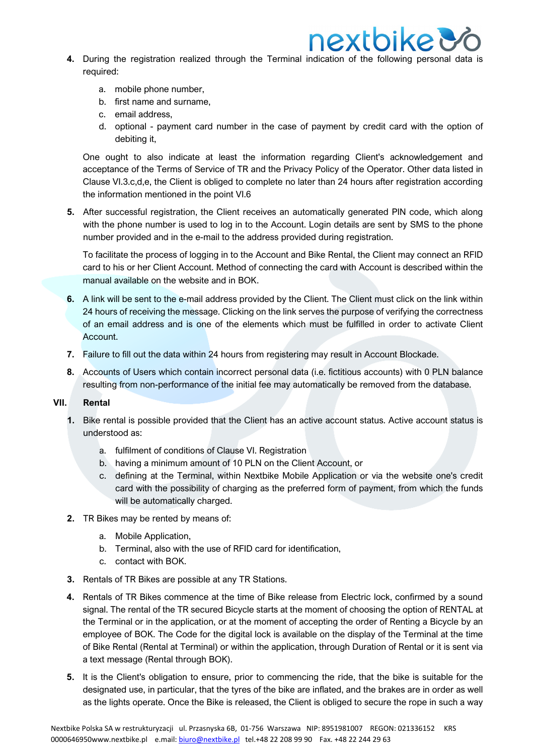

- **4.** During the registration realized through the Terminal indication of the following personal data is required:
	- a. mobile phone number,
	- b. first name and surname,
	- c. email address,
	- d. optional payment card number in the case of payment by credit card with the option of debiting it,

One ought to also indicate at least the information regarding Client's acknowledgement and acceptance of the Terms of Service of TR and the Privacy Policy of the Operator. Other data listed in Clause VI.3.c,d,e, the Client is obliged to complete no later than 24 hours after registration according the information mentioned in the point VI.6

**5.** After successful registration, the Client receives an automatically generated PIN code, which along with the phone number is used to log in to the Account. Login details are sent by SMS to the phone number provided and in the e-mail to the address provided during registration.

To facilitate the process of logging in to the Account and Bike Rental, the Client may connect an RFID card to his or her Client Account. Method of connecting the card with Account is described within the manual available on the website and in BOK.

- **6.** A link will be sent to the e-mail address provided by the Client. The Client must click on the link within 24 hours of receiving the message. Clicking on the link serves the purpose of verifying the correctness of an email address and is one of the elements which must be fulfilled in order to activate Client Account.
- **7.** Failure to fill out the data within 24 hours from registering may result in Account Blockade.
- **8.** Accounts of Users which contain incorrect personal data (i.e. fictitious accounts) with 0 PLN balance resulting from non-performance of the initial fee may automatically be removed from the database.

#### **VII. Rental**

- **1.** Bike rental is possible provided that the Client has an active account status. Active account status is understood as:
	- a. fulfilment of conditions of Clause VI. Registration
	- b. having a minimum amount of 10 PLN on the Client Account, or
	- c. defining at the Terminal, within Nextbike Mobile Application or via the website one's credit card with the possibility of charging as the preferred form of payment, from which the funds will be automatically charged.
- **2.** TR Bikes may be rented by means of:
	- a. Mobile Application,
	- b. Terminal, also with the use of RFID card for identification,
	- c. contact with BOK.
- **3.** Rentals of TR Bikes are possible at any TR Stations.
- **4.** Rentals of TR Bikes commence at the time of Bike release from Electric lock, confirmed by a sound signal. The rental of the TR secured Bicycle starts at the moment of choosing the option of RENTAL at the Terminal or in the application, or at the moment of accepting the order of Renting a Bicycle by an employee of BOK. The Code for the digital lock is available on the display of the Terminal at the time of Bike Rental (Rental at Terminal) or within the application, through Duration of Rental or it is sent via a text message (Rental through BOK).
- **5.** It is the Client's obligation to ensure, prior to commencing the ride, that the bike is suitable for the designated use, in particular, that the tyres of the bike are inflated, and the brakes are in order as well as the lights operate. Once the Bike is released, the Client is obliged to secure the rope in such a way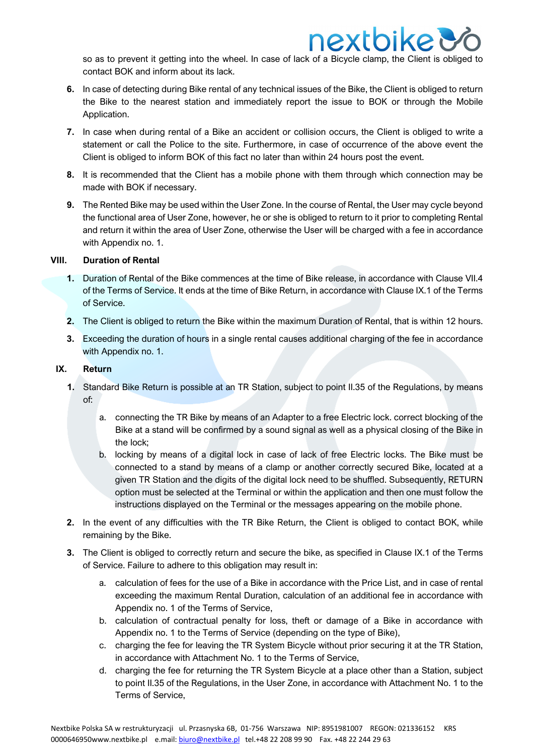so as to prevent it getting into the wheel. In case of lack of a Bicycle clamp, the Client is obliged to contact BOK and inform about its lack.

**nextbike &** 

- **6.** In case of detecting during Bike rental of any technical issues of the Bike, the Client is obliged to return the Bike to the nearest station and immediately report the issue to BOK or through the Mobile Application.
- **7.** In case when during rental of a Bike an accident or collision occurs, the Client is obliged to write a statement or call the Police to the site. Furthermore, in case of occurrence of the above event the Client is obliged to inform BOK of this fact no later than within 24 hours post the event.
- **8.** It is recommended that the Client has a mobile phone with them through which connection may be made with BOK if necessary.
- **9.** The Rented Bike may be used within the User Zone. In the course of Rental, the User may cycle beyond the functional area of User Zone, however, he or she is obliged to return to it prior to completing Rental and return it within the area of User Zone, otherwise the User will be charged with a fee in accordance with Appendix no. 1.

#### **VIII. Duration of Rental**

- **1.** Duration of Rental of the Bike commences at the time of Bike release, in accordance with Clause VII.4 of the Terms of Service. It ends at the time of Bike Return, in accordance with Clause IX.1 of the Terms of Service.
- **2.** The Client is obliged to return the Bike within the maximum Duration of Rental, that is within 12 hours.
- **3.** Exceeding the duration of hours in a single rental causes additional charging of the fee in accordance with Appendix no. 1.

#### **IX. Return**

- **1.** Standard Bike Return is possible at an TR Station, subject to point II.35 of the Regulations, by means of:
	- a. connecting the TR Bike by means of an Adapter to a free Electric lock. correct blocking of the Bike at a stand will be confirmed by a sound signal as well as a physical closing of the Bike in the lock;
	- b. locking by means of a digital lock in case of lack of free Electric locks. The Bike must be connected to a stand by means of a clamp or another correctly secured Bike, located at a given TR Station and the digits of the digital lock need to be shuffled. Subsequently, RETURN option must be selected at the Terminal or within the application and then one must follow the instructions displayed on the Terminal or the messages appearing on the mobile phone.
- **2.** In the event of any difficulties with the TR Bike Return, the Client is obliged to contact BOK, while remaining by the Bike.
- **3.** The Client is obliged to correctly return and secure the bike, as specified in Clause IX.1 of the Terms of Service. Failure to adhere to this obligation may result in:
	- a. calculation of fees for the use of a Bike in accordance with the Price List, and in case of rental exceeding the maximum Rental Duration, calculation of an additional fee in accordance with Appendix no. 1 of the Terms of Service,
	- b. calculation of contractual penalty for loss, theft or damage of a Bike in accordance with Appendix no. 1 to the Terms of Service (depending on the type of Bike),
	- c. charging the fee for leaving the TR System Bicycle without prior securing it at the TR Station, in accordance with Attachment No. 1 to the Terms of Service,
	- d. charging the fee for returning the TR System Bicycle at a place other than a Station, subject to point II.35 of the Regulations, in the User Zone, in accordance with Attachment No. 1 to the Terms of Service,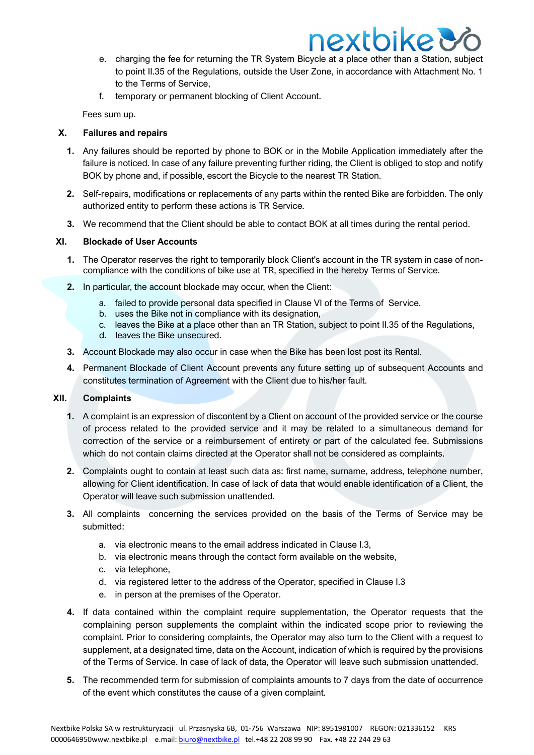- e. charging the fee for returning the TR System Bicycle at a place other than a Station, subject to point II.35 of the Regulations, outside the User Zone, in accordance with Attachment No. 1 to the Terms of Service,
- f. temporary or permanent blocking of Client Account.

Fees sum up.

#### **X. Failures and repairs**

- **1.** Any failures should be reported by phone to BOK or in the Mobile Application immediately after the failure is noticed. In case of any failure preventing further riding, the Client is obliged to stop and notify BOK by phone and, if possible, escort the Bicycle to the nearest TR Station.
- **2.** Self-repairs, modifications or replacements of any parts within the rented Bike are forbidden. The only authorized entity to perform these actions is TR Service.
- **3.** We recommend that the Client should be able to contact BOK at all times during the rental period.

### **XI. Blockade of User Accounts**

- **1.** The Operator reserves the right to temporarily block Client's account in the TR system in case of noncompliance with the conditions of bike use at TR, specified in the hereby Terms of Service.
- **2.** In particular, the account blockade may occur, when the Client:
	- a. failed to provide personal data specified in Clause VI of the Terms of Service.
	- b. uses the Bike not in compliance with its designation,
	- c. leaves the Bike at a place other than an TR Station, subject to point II.35 of the Regulations,
	- d. leaves the Bike unsecured.
- **3.** Account Blockade may also occur in case when the Bike has been lost post its Rental.
- **4.** Permanent Blockade of Client Account prevents any future setting up of subsequent Accounts and constitutes termination of Agreement with the Client due to his/her fault.

#### **XII. Complaints**

- **1.** A complaint is an expression of discontent by a Client on account of the provided service or the course of process related to the provided service and it may be related to a simultaneous demand for correction of the service or a reimbursement of entirety or part of the calculated fee. Submissions which do not contain claims directed at the Operator shall not be considered as complaints.
- **2.** Complaints ought to contain at least such data as: first name, surname, address, telephone number, allowing for Client identification. In case of lack of data that would enable identification of a Client, the Operator will leave such submission unattended.
- **3.** All complaints concerning the services provided on the basis of the Terms of Service may be submitted:
	- a. via electronic means to the email address indicated in Clause I.3,
	- b. via electronic means through the contact form available on the website,
	- c. via telephone,
	- d. via registered letter to the address of the Operator, specified in Clause I.3
	- e. in person at the premises of the Operator.
- **4.** If data contained within the complaint require supplementation, the Operator requests that the complaining person supplements the complaint within the indicated scope prior to reviewing the complaint. Prior to considering complaints, the Operator may also turn to the Client with a request to supplement, at a designated time, data on the Account, indication of which is required by the provisions of the Terms of Service. In case of lack of data, the Operator will leave such submission unattended.
- **5.** The recommended term for submission of complaints amounts to 7 days from the date of occurrence of the event which constitutes the cause of a given complaint.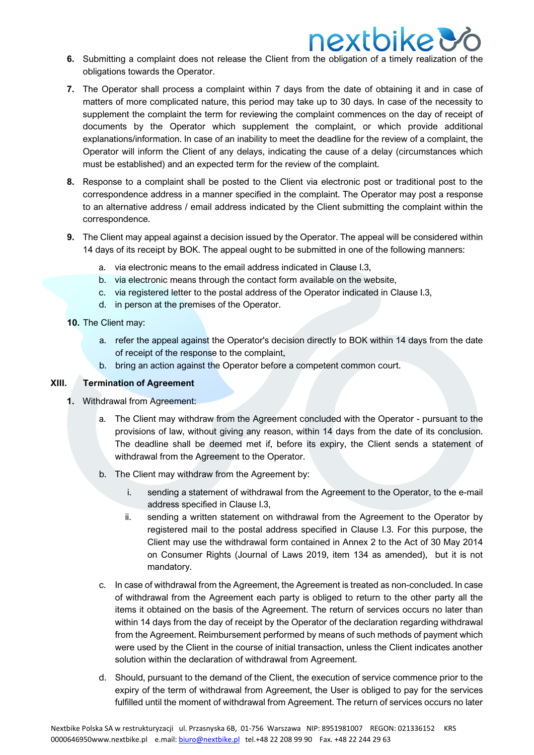

- **6.** Submitting a complaint does not release the Client from the obligation of a timely realization of the obligations towards the Operator.
- **7.** The Operator shall process a complaint within 7 days from the date of obtaining it and in case of matters of more complicated nature, this period may take up to 30 days. In case of the necessity to supplement the complaint the term for reviewing the complaint commences on the day of receipt of documents by the Operator which supplement the complaint, or which provide additional explanations/information. In case of an inability to meet the deadline for the review of a complaint, the Operator will inform the Client of any delays, indicating the cause of a delay (circumstances which must be established) and an expected term for the review of the complaint.
- **8.** Response to a complaint shall be posted to the Client via electronic post or traditional post to the correspondence address in a manner specified in the complaint. The Operator may post a response to an alternative address / email address indicated by the Client submitting the complaint within the correspondence.
- **9.** The Client may appeal against a decision issued by the Operator. The appeal will be considered within 14 days of its receipt by BOK. The appeal ought to be submitted in one of the following manners:
	- a. via electronic means to the email address indicated in Clause I.3,
	- b. via electronic means through the contact form available on the website,
	- c. via registered letter to the postal address of the Operator indicated in Clause I.3,
	- d. in person at the premises of the Operator.
- **10.** The Client may:
	- a. refer the appeal against the Operator's decision directly to BOK within 14 days from the date of receipt of the response to the complaint,
	- b. bring an action against the Operator before a competent common court.

#### **XIII. Termination of Agreement**

- **1.** Withdrawal from Agreement:
	- a. The Client may withdraw from the Agreement concluded with the Operator pursuant to the provisions of law, without giving any reason, within 14 days from the date of its conclusion. The deadline shall be deemed met if, before its expiry, the Client sends a statement of withdrawal from the Agreement to the Operator.
	- b. The Client may withdraw from the Agreement by:
		- i. sending a statement of withdrawal from the Agreement to the Operator, to the e-mail address specified in Clause I.3,
		- ii. sending a written statement on withdrawal from the Agreement to the Operator by registered mail to the postal address specified in Clause I.3. For this purpose, the Client may use the withdrawal form contained in Annex 2 to the Act of 30 May 2014 on Consumer Rights (Journal of Laws 2019, item 134 as amended), but it is not mandatory.
	- c. In case of withdrawal from the Agreement, the Agreement is treated as non-concluded. In case of withdrawal from the Agreement each party is obliged to return to the other party all the items it obtained on the basis of the Agreement. The return of services occurs no later than within 14 days from the day of receipt by the Operator of the declaration regarding withdrawal from the Agreement. Reimbursement performed by means of such methods of payment which were used by the Client in the course of initial transaction, unless the Client indicates another solution within the declaration of withdrawal from Agreement.
	- d. Should, pursuant to the demand of the Client, the execution of service commence prior to the expiry of the term of withdrawal from Agreement, the User is obliged to pay for the services fulfilled until the moment of withdrawal from Agreement. The return of services occurs no later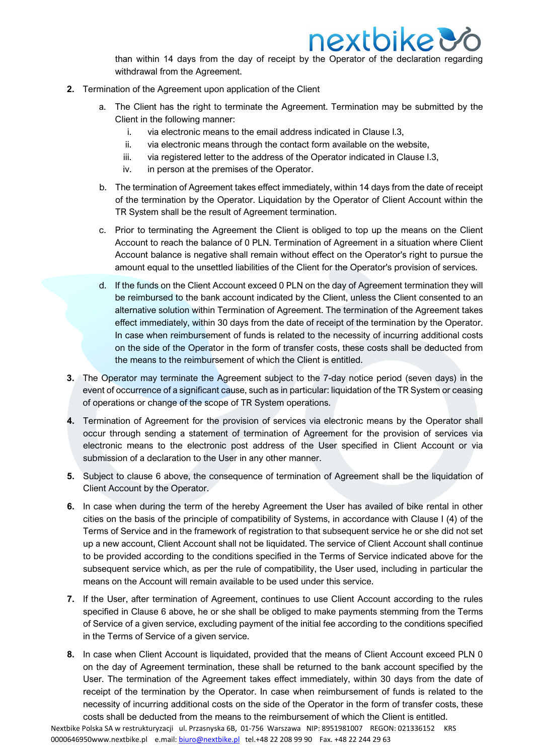

than within 14 days from the day of receipt by the Operator of the declaration regarding withdrawal from the Agreement.

- **2.** Termination of the Agreement upon application of the Client
	- a. The Client has the right to terminate the Agreement. Termination may be submitted by the Client in the following manner:
		- i. via electronic means to the email address indicated in Clause I.3,
		- ii. via electronic means through the contact form available on the website,
		- iii. via registered letter to the address of the Operator indicated in Clause I.3,
		- iv. in person at the premises of the Operator.
	- b. The termination of Agreement takes effect immediately, within 14 days from the date of receipt of the termination by the Operator. Liquidation by the Operator of Client Account within the TR System shall be the result of Agreement termination.
	- c. Prior to terminating the Agreement the Client is obliged to top up the means on the Client Account to reach the balance of 0 PLN. Termination of Agreement in a situation where Client Account balance is negative shall remain without effect on the Operator's right to pursue the amount equal to the unsettled liabilities of the Client for the Operator's provision of services.
	- d. If the funds on the Client Account exceed 0 PLN on the day of Agreement termination they will be reimbursed to the bank account indicated by the Client, unless the Client consented to an alternative solution within Termination of Agreement. The termination of the Agreement takes effect immediately, within 30 days from the date of receipt of the termination by the Operator. In case when reimbursement of funds is related to the necessity of incurring additional costs on the side of the Operator in the form of transfer costs, these costs shall be deducted from the means to the reimbursement of which the Client is entitled.
- **3.** The Operator may terminate the Agreement subject to the 7-day notice period (seven days) in the event of occurrence of a significant cause, such as in particular: liquidation of the TR System or ceasing of operations or change of the scope of TR System operations.
- **4.** Termination of Agreement for the provision of services via electronic means by the Operator shall occur through sending a statement of termination of Agreement for the provision of services via electronic means to the electronic post address of the User specified in Client Account or via submission of a declaration to the User in any other manner.
- **5.** Subject to clause 6 above, the consequence of termination of Agreement shall be the liquidation of Client Account by the Operator.
- **6.** In case when during the term of the hereby Agreement the User has availed of bike rental in other cities on the basis of the principle of compatibility of Systems, in accordance with Clause I (4) of the Terms of Service and in the framework of registration to that subsequent service he or she did not set up a new account, Client Account shall not be liquidated. The service of Client Account shall continue to be provided according to the conditions specified in the Terms of Service indicated above for the subsequent service which, as per the rule of compatibility, the User used, including in particular the means on the Account will remain available to be used under this service.
- **7.** If the User, after termination of Agreement, continues to use Client Account according to the rules specified in Clause 6 above, he or she shall be obliged to make payments stemming from the Terms of Service of a given service, excluding payment of the initial fee according to the conditions specified in the Terms of Service of a given service.
- **8.** In case when Client Account is liquidated, provided that the means of Client Account exceed PLN 0 on the day of Agreement termination, these shall be returned to the bank account specified by the User. The termination of the Agreement takes effect immediately, within 30 days from the date of receipt of the termination by the Operator. In case when reimbursement of funds is related to the necessity of incurring additional costs on the side of the Operator in the form of transfer costs, these costs shall be deducted from the means to the reimbursement of which the Client is entitled.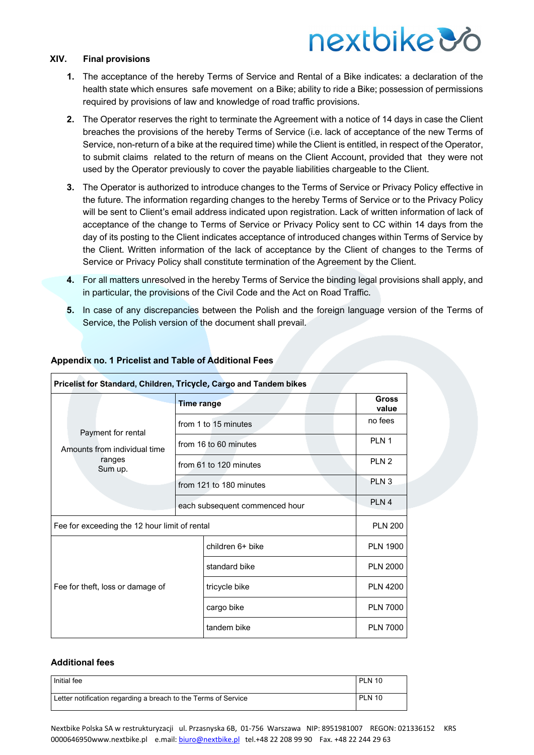# nextbike *Vo*

#### **XIV. Final provisions**

- **1.** The acceptance of the hereby Terms of Service and Rental of a Bike indicates: a declaration of the health state which ensures safe movement on a Bike; ability to ride a Bike; possession of permissions required by provisions of law and knowledge of road traffic provisions.
- **2.** The Operator reserves the right to terminate the Agreement with a notice of 14 days in case the Client breaches the provisions of the hereby Terms of Service (i.e. lack of acceptance of the new Terms of Service, non-return of a bike at the required time) while the Client is entitled, in respect of the Operator, to submit claims related to the return of means on the Client Account, provided that they were not used by the Operator previously to cover the payable liabilities chargeable to the Client.
- **3.** The Operator is authorized to introduce changes to the Terms of Service or Privacy Policy effective in the future. The information regarding changes to the hereby Terms of Service or to the Privacy Policy will be sent to Client's email address indicated upon registration. Lack of written information of lack of acceptance of the change to Terms of Service or Privacy Policy sent to CC within 14 days from the day of its posting to the Client indicates acceptance of introduced changes within Terms of Service by the Client. Written information of the lack of acceptance by the Client of changes to the Terms of Service or Privacy Policy shall constitute termination of the Agreement by the Client.
- **4.** For all matters unresolved in the hereby Terms of Service the binding legal provisions shall apply, and in particular, the provisions of the Civil Code and the Act on Road Traffic.
- **5.** In case of any discrepancies between the Polish and the foreign language version of the Terms of Service, the Polish version of the document shall prevail.

| Pricelist for Standard, Children, Tricycle, Cargo and Tandem bikes      |                                |                  |                       |  |  |  |
|-------------------------------------------------------------------------|--------------------------------|------------------|-----------------------|--|--|--|
| Payment for rental<br>Amounts from individual time<br>ranges<br>Sum up. | <b>Time range</b>              |                  | <b>Gross</b><br>value |  |  |  |
|                                                                         | from 1 to 15 minutes           |                  | no fees               |  |  |  |
|                                                                         | from 16 to 60 minutes          |                  | PLN <sub>1</sub>      |  |  |  |
|                                                                         | from 61 to 120 minutes         |                  | PLN <sub>2</sub>      |  |  |  |
|                                                                         | from 121 to 180 minutes        |                  | PLN <sub>3</sub>      |  |  |  |
|                                                                         | each subsequent commenced hour |                  | PLN <sub>4</sub>      |  |  |  |
| Fee for exceeding the 12 hour limit of rental                           |                                |                  | <b>PLN 200</b>        |  |  |  |
| Fee for theft, loss or damage of                                        |                                | children 6+ bike | <b>PLN 1900</b>       |  |  |  |
|                                                                         |                                | standard bike    | <b>PLN 2000</b>       |  |  |  |
|                                                                         |                                | tricycle bike    | <b>PLN 4200</b>       |  |  |  |
|                                                                         |                                | cargo bike       | <b>PLN 7000</b>       |  |  |  |
|                                                                         |                                | tandem bike      | <b>PLN 7000</b>       |  |  |  |

#### **Appendix no. 1 Pricelist and Table of Additional Fees**

#### **Additional fees**

| Initial fee                                                    | <b>PLN 10</b> |
|----------------------------------------------------------------|---------------|
| Letter notification regarding a breach to the Terms of Service | <b>PLN 10</b> |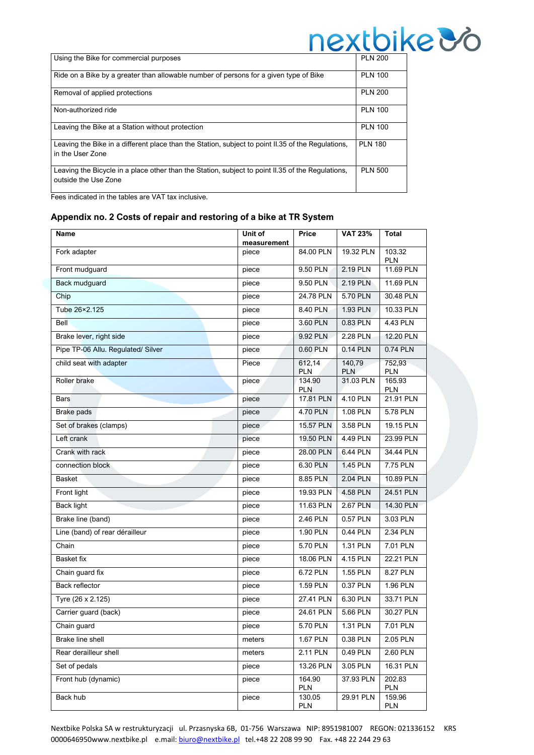|                                                                                                                           | $\blacksquare$ |
|---------------------------------------------------------------------------------------------------------------------------|----------------|
| Using the Bike for commercial purposes                                                                                    | <b>PLN 200</b> |
| Ride on a Bike by a greater than allowable number of persons for a given type of Bike                                     | <b>PLN 100</b> |
| Removal of applied protections                                                                                            | <b>PLN 200</b> |
| Non-authorized ride                                                                                                       | <b>PLN 100</b> |
| Leaving the Bike at a Station without protection                                                                          | <b>PLN 100</b> |
| Leaving the Bike in a different place than the Station, subject to point II.35 of the Regulations,<br>in the User Zone    | <b>PLN 180</b> |
| Leaving the Bicycle in a place other than the Station, subject to point II.35 of the Regulations,<br>outside the Use Zone | <b>PLN 500</b> |

Fees indicated in the tables are VAT tax inclusive.

#### **Appendix no. 2 Costs of repair and restoring of a bike at TR System**

| Name                               | Unit of<br>measurement | Price                | <b>VAT 23%</b>  | Total                |
|------------------------------------|------------------------|----------------------|-----------------|----------------------|
| Fork adapter                       | piece                  | 84.00 PLN            | 19.32 PLN       | 103.32<br>PLN        |
| Front mudguard                     | piece                  | 9.50 PLN             | 2.19 PLN        | 11.69 PLN            |
| Back mudguard                      | piece                  | 9.50 PLN             | 2.19 PLN        | 11.69 PLN            |
| Chip                               | piece                  | 24.78 PLN            | 5.70 PLN        | 30.48 PLN            |
| Tube 26×2.125                      | piece                  | 8.40 PLN             | 1.93 PLN        | 10.33 PLN            |
| <b>Bell</b>                        | piece                  | 3.60 PLN             | 0.83 PLN        | 4.43 PLN             |
| Brake lever, right side            | piece                  | 9.92 PLN             | 2.28 PLN        | <b>12.20 PLN</b>     |
| Pipe TP-06 Allu. Regulated/ Silver | piece                  | 0.60 PLN             | 0.14 PLN        | 0.74 PLN             |
| child seat with adapter            | Piece                  | 612,14<br><b>PLN</b> | 140,79<br>PLN   | 752,93<br><b>PLN</b> |
| Roller brake                       | piece                  | 134.90<br><b>PLN</b> | 31.03 PLN       | 165.93<br>PLN        |
| <b>Bars</b>                        | piece                  | 17.81 PLN            | 4.10 PLN        | 21.91 PLN            |
| Brake pads                         | piece                  | 4.70 PLN             | 1.08 PLN        | 5.78 PLN             |
| Set of brakes (clamps)             | piece                  | 15.57 PLN            | 3.58 PLN        | 19.15 PLN            |
| Left crank                         | piece                  | 19.50 PLN            | 4.49 PLN        | 23.99 PLN            |
| Crank with rack                    | piece                  | 28.00 PLN            | 6.44 PLN        | 34.44 PLN            |
| connection block                   | piece                  | 6.30 PLN             | <b>1.45 PLN</b> | 7.75 PLN             |
| Basket                             | piece                  | 8.85 PLN             | 2.04 PLN        | 10.89 PLN            |
| Front light                        | piece                  | 19.93 PLN            | 4.58 PLN        | 24.51 PLN            |
| <b>Back light</b>                  | piece                  | 11.63 PLN            | 2.67 PLN        | 14.30 PLN            |
| Brake line (band)                  | piece                  | 2.46 PLN             | 0.57 PLN        | 3.03 PLN             |
| Line (band) of rear dérailleur     | piece                  | 1.90 PLN             | 0.44 PLN        | 2.34 PLN             |
| Chain                              | piece                  | 5.70 PLN             | 1.31 PLN        | 7.01 PLN             |
| Basket fix                         | piece                  | 18.06 PLN            | 4.15 PLN        | 22.21 PLN            |
| Chain guard fix                    | piece                  | 6.72 PLN             | 1.55 PLN        | 8.27 PLN             |
| <b>Back reflector</b>              | piece                  | $1.59$ PLN           | 0.37 PLN        | 1.96 PLN             |
| Tyre (26 x 2.125)                  | piece                  | 27.41 PLN            | 6.30 PLN        | 33.71 PLN            |
| Carrier guard (back)               | piece                  | 24.61 PLN            | 5.66 PLN        | 30.27 PLN            |
| Chain guard                        | piece                  | 5.70 PLN             | 1.31 PLN        | 7.01 PLN             |
| Brake line shell                   | meters                 | 1.67 PLN             | 0.38 PLN        | 2.05 PLN             |
| Rear derailleur shell              | meters                 | 2.11 PLN             | 0.49 PLN        | 2.60 PLN             |
| Set of pedals                      | piece                  | 13.26 PLN            | 3.05 PLN        | 16.31 PLN            |
| Front hub (dynamic)                | piece                  | 164.90<br>PLN        | 37.93 PLN       | 202.83<br>PLN        |
| Back hub                           | piece                  | 130.05<br><b>PLN</b> | 29.91 PLN       | 159.96<br><b>PLN</b> |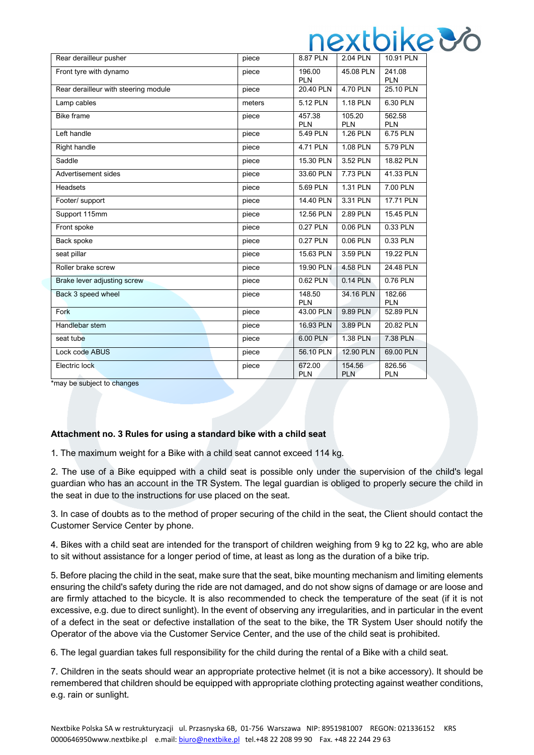|                                      |        |                      |                      | <b>I IVAWIN</b>      |
|--------------------------------------|--------|----------------------|----------------------|----------------------|
| Rear derailleur pusher               | piece  | 8.87 PLN             | 2.04 PLN             | 10.91 PLN            |
| Front tyre with dynamo               | piece  | 196.00               | 45.08 PLN            | 241.08               |
|                                      |        | <b>PLN</b>           |                      | <b>PLN</b>           |
| Rear derailleur with steering module | piece  | 20.40 PLN            | 4.70 PLN             | 25.10 PLN            |
| Lamp cables                          | meters | 5.12 PLN             | 1.18 PLN             | 6.30 PLN             |
| <b>Bike frame</b>                    | piece  | 457.38<br><b>PLN</b> | 105.20<br><b>PLN</b> | 562.58<br><b>PLN</b> |
| Left handle                          | piece  | 5.49 PLN             | 1.26 PLN             | 6.75 PLN             |
| Right handle                         | piece  | 4.71 PLN             | 1.08 PLN             | 5.79 PLN             |
| Saddle                               | piece  | 15.30 PLN            | 3.52 PLN             | 18.82 PLN            |
| Advertisement sides                  | piece  | 33.60 PLN            | 7.73 PLN             | 41.33 PLN            |
| <b>Headsets</b>                      | piece  | 5.69 PLN             | 1.31 PLN             | 7.00 PLN             |
| Footer/ support                      | piece  | 14.40 PLN            | 3.31 PLN             | 17.71 PLN            |
| Support 115mm                        | piece  | 12.56 PLN            | 2.89 PLN             | 15.45 PLN            |
| Front spoke                          | piece  | 0.27 PLN             | 0.06 PLN             | 0.33 PLN             |
| Back spoke                           | piece  | $0.27$ PLN           | 0.06 PLN             | 0.33 PLN             |
| seat pillar                          | piece  | 15.63 PLN            | 3.59 PLN             | 19.22 PLN            |
| Roller brake screw                   | piece  | 19.90 PLN            | 4.58 PLN             | 24.48 PLN            |
| Brake lever adjusting screw          | piece  | 0.62 PLN             | 0.14 PLN             | $0.76$ PLN           |
| Back 3 speed wheel                   | piece  | 148.50<br><b>PLN</b> | 34.16 PLN            | 182.66<br><b>PLN</b> |
| Fork                                 | piece  | 43.00 PLN            | 9.89 PLN             | 52.89 PLN            |
| Handlebar stem                       | piece  | 16.93 PLN            | 3.89 PLN             | 20.82 PLN            |
| seat tube                            | piece  | 6.00 PLN             | <b>1.38 PLN</b>      | 7.38 PLN             |
| Lock code ABUS                       | piece  | 56.10 PLN            | 12.90 PLN            | 69.00 PLN            |
| Electric lock                        | piece  | 672.00<br><b>PLN</b> | 154.56<br><b>PLN</b> | 826.56<br><b>PLN</b> |

\*may be subject to changes

#### **Attachment no. 3 Rules for using a standard bike with a child seat**

1. The maximum weight for a Bike with a child seat cannot exceed 114 kg.

2. The use of a Bike equipped with a child seat is possible only under the supervision of the child's legal guardian who has an account in the TR System. The legal guardian is obliged to properly secure the child in the seat in due to the instructions for use placed on the seat.

3. In case of doubts as to the method of proper securing of the child in the seat, the Client should contact the Customer Service Center by phone.

4. Bikes with a child seat are intended for the transport of children weighing from 9 kg to 22 kg, who are able to sit without assistance for a longer period of time, at least as long as the duration of a bike trip.

5. Before placing the child in the seat, make sure that the seat, bike mounting mechanism and limiting elements ensuring the child's safety during the ride are not damaged, and do not show signs of damage or are loose and are firmly attached to the bicycle. It is also recommended to check the temperature of the seat (if it is not excessive, e.g. due to direct sunlight). In the event of observing any irregularities, and in particular in the event of a defect in the seat or defective installation of the seat to the bike, the TR System User should notify the Operator of the above via the Customer Service Center, and the use of the child seat is prohibited.

6. The legal guardian takes full responsibility for the child during the rental of a Bike with a child seat.

7. Children in the seats should wear an appropriate protective helmet (it is not a bike accessory). It should be remembered that children should be equipped with appropriate clothing protecting against weather conditions, e.g. rain or sunlight.